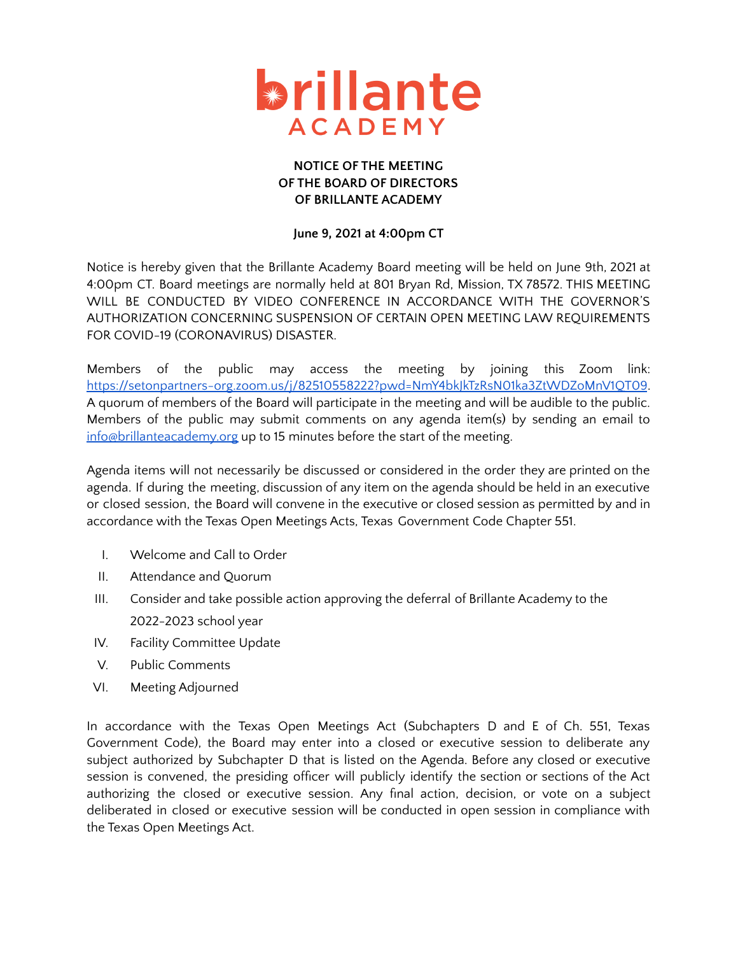

## **NOTICE OF THE MEETING OF THE BOARD OF DIRECTORS OF BRILLANTE ACADEMY**

## **June 9, 2021 at 4:00pm CT**

Notice is hereby given that the Brillante Academy Board meeting will be held on June 9th, 2021 at 4:00pm CT. Board meetings are normally held at 801 Bryan Rd, Mission, TX 78572. THIS MEETING WILL BE CONDUCTED BY VIDEO CONFERENCE IN ACCORDANCE WITH THE GOVERNOR'S AUTHORIZATION CONCERNING SUSPENSION OF CERTAIN OPEN MEETING LAW REQUIREMENTS FOR COVID-19 (CORONAVIRUS) DISASTER.

Members of the public may access the meeting by joining this Zoom link: <https://setonpartners-org.zoom.us/j/82510558222?pwd=NmY4bkJkTzRsN01ka3ZtWDZoMnV1QT09>. A quorum of members of the Board will participate in the meeting and will be audible to the public. Members of the public may submit comments on any agenda item(s) by sending an email to [info@brillanteacademy.org](mailto:info@brillante.org) up to 15 minutes before the start of the meeting.

Agenda items will not necessarily be discussed or considered in the order they are printed on the agenda. If during the meeting, discussion of any item on the agenda should be held in an executive or closed session, the Board will convene in the executive or closed session as permitted by and in accordance with the Texas Open Meetings Acts, Texas Government Code Chapter 551.

- I. Welcome and Call to Order
- II. Attendance and Quorum
- III. Consider and take possible action approving the deferral of Brillante Academy to the 2022-2023 school year
- IV. Facility Committee Update
- V. Public Comments
- VI. Meeting Adjourned

In accordance with the Texas Open Meetings Act (Subchapters D and E of Ch. 551, Texas Government Code), the Board may enter into a closed or executive session to deliberate any subject authorized by Subchapter D that is listed on the Agenda. Before any closed or executive session is convened, the presiding officer will publicly identify the section or sections of the Act authorizing the closed or executive session. Any final action, decision, or vote on a subject deliberated in closed or executive session will be conducted in open session in compliance with the Texas Open Meetings Act.